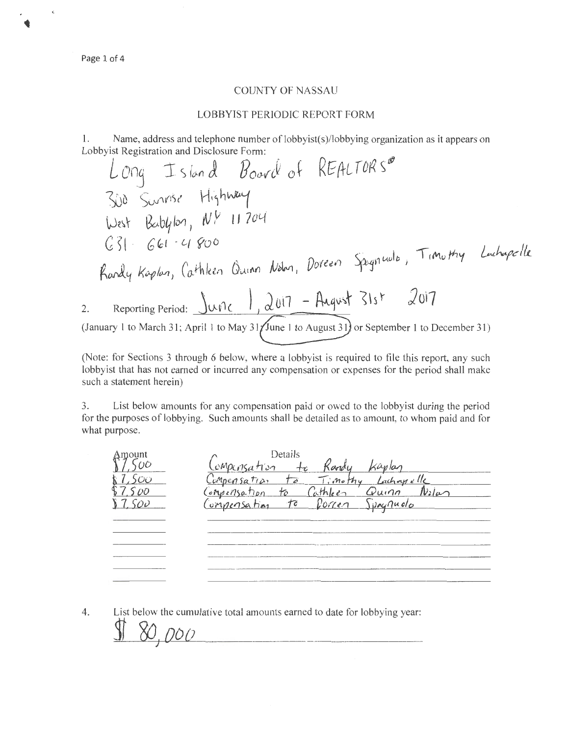Page 1 of 4

## COUNTY OF NASSAU

## LOBBYIST PERIODIC REPORT FORM

1. Name, address and telephone number of lobbyist(s)/lobbying organization as it appears on Lobbyist Registration and Disclosure Form:

*L* o D n *r nc* ruroJ!) s tJJ 0~ '!.. S *(o-n {)..* **fJ** o<WrJ o t Kt; 11 t-- li <sup>b</sup>Svf'(lSt ~h~ Bo-b~ IIYl 1 **N** fv II 7 OY *, ,(* 4~0 & <sup>D</sup><(lh,rJu <sup>~</sup>1 'lrMoMy ~~ ~J~ kc-pfo.;,, *Ca.rhla.,* du,M /V , *o'ft.U/* ~1 2. Reporting Period: **)ol7**  (January I to March 31; April 1 to May 31 June 1 to August 31 or September 1 to December 31)

(Note: for Sections 3 through 6 below, where a lobbyist is required to file this report, any such lobbyist that has not earned or incurred any compensation or expenses for the period shall make such a statement herein)

3. List below amounts for any compensation paid or owed to the lobbyist during the period for the purposes of lobbying. Such amounts shall be detailed as to amount, to whom paid and for what purpose.

| Amount | Details                                    |
|--------|--------------------------------------------|
|        | emperisation                               |
|        | Compensation to Timothy Lachangelle        |
|        | Compensation to Cathleen Quinn<br>$N$ ilan |
|        | to Porcen Spagnuolo<br>Compensation        |
|        |                                            |
|        |                                            |
|        |                                            |
|        |                                            |
|        |                                            |
|        |                                            |

4. List below the cumulative total amounts earned to date for lobbying year:

80,000

ŧ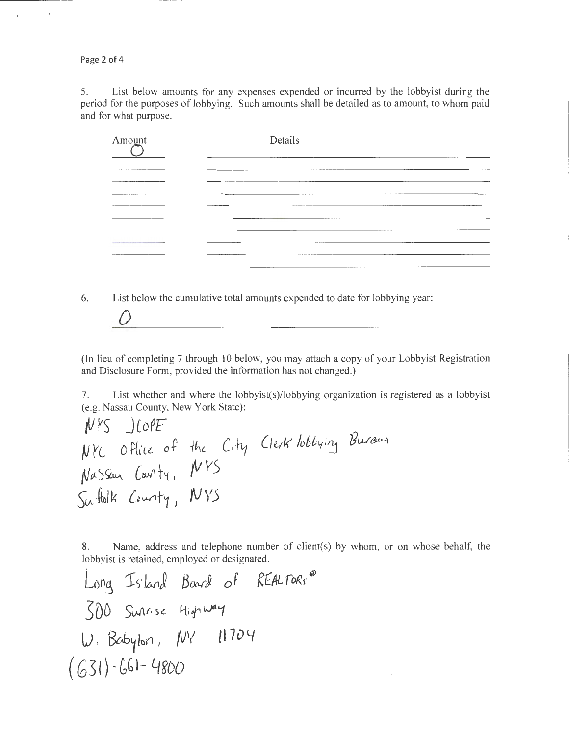Page 2 of 4

 $\overline{\phantom{a}}$ 

0

5. List below amounts for any expenses expended or incurred by the lobbyist during the period for the purposes of lobbying. Such amounts shall be detailed as to amount, to whom paid and for what purpose.

| Amount     | Details                                                                                       |
|------------|-----------------------------------------------------------------------------------------------|
|            |                                                                                               |
| ---------- |                                                                                               |
|            | <b><i><u>PERSONAL PROPERTY AND PROPERTY AND RESIDENCE AND RESIDENCE AND RESIDENCE</u></i></b> |
|            | _____                                                                                         |
|            |                                                                                               |
|            |                                                                                               |
|            |                                                                                               |
|            |                                                                                               |
|            |                                                                                               |

6. List below the cumulative total amounts expended to date for lobbying year:

(In lieu of completing 7 through 10 below, you may attach a copy of your Lobbyist Registration and Disclosure Form, provided the information has not changed.)

7. List whether and where the lobbyist(s)/lobbying organization is registered as a lobbyist (e.g. Nassau County, New York State):

*fJ VS* JLo~~ <sup>~</sup>*YL* <sup>0</sup>ff c~ *of*  AJtt-S ~ ~t~ <sup>I</sup> 5CA- ~cl k *{.:* <Mlf/ <sup>J</sup> *fi,L* ~ */VY5 'tJ YS* 

8. Name, address and telephone number of client(s) by whom, or on whose behalf, the lobbyist is retained, employed or designated.

Lo <sup>~</sup>':fs-- }Vcfl; *80o-rJ o.f RtAL ft>Rr* iP 3DD SW\f· )(. H "'Vfl-'1 lJ. Bcb1kn , {IJV 0 7 *0* Lf ( G 31 ) -[,b 1- 4 8DD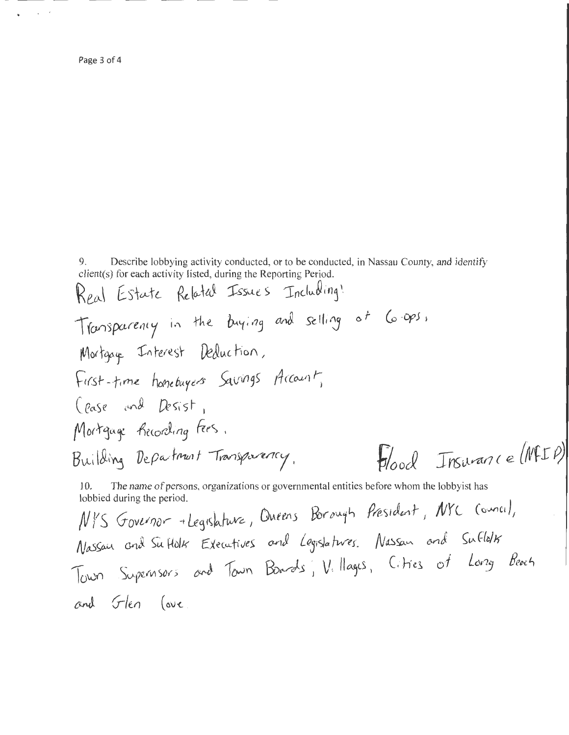Page 3 of 4

9. Describe lobbying activity conducted, or to be conducted, in Nassau County, and identify client(s) for each activity listed, during the Reporting Period.

The name of persons, organizations or governmental entities before whom the lobbyist has 10. lobbied during the period.

NYS Governor + Legislature, Oueens Borough President, NYC (owner), Nassau and Suttolk Executives and Legislatures. Nassan and Suttolk Town Supernsors and Tavin Boards, Villages, Citries of Long Beach and Flen love